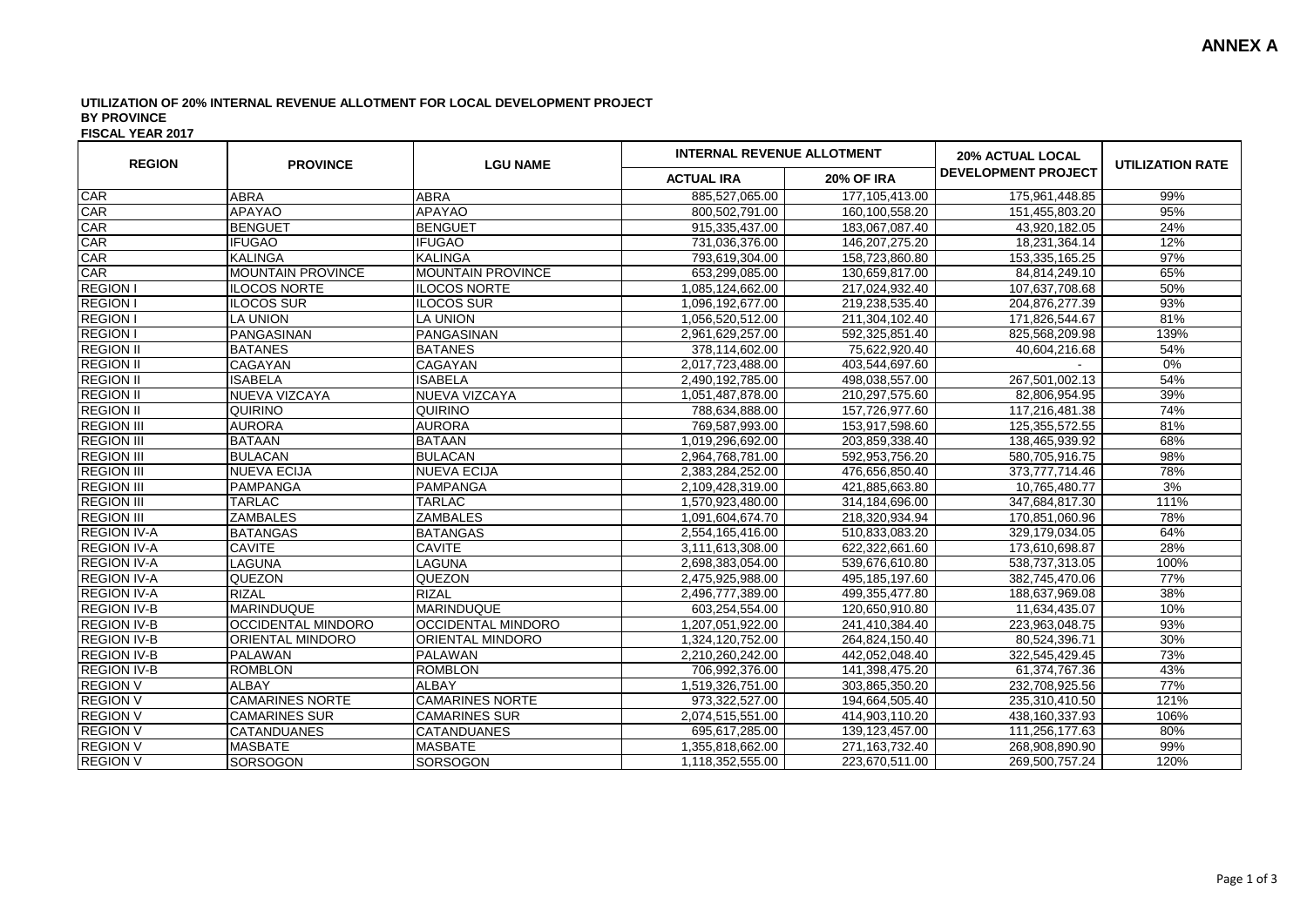## **UTILIZATION OF 20% INTERNAL REVENUE ALLOTMENT FOR LOCAL DEVELOPMENT PROJECT BY PROVINCE**

**FISCAL YEAR 2017**

| <b>REGION</b>      | <b>PROVINCE</b>          | <b>LGU NAME</b>          | <b>INTERNAL REVENUE ALLOTMENT</b> |                   | <b>20% ACTUAL LOCAL</b>    | <b>UTILIZATION RATE</b> |
|--------------------|--------------------------|--------------------------|-----------------------------------|-------------------|----------------------------|-------------------------|
|                    |                          |                          | <b>ACTUAL IRA</b>                 | <b>20% OF IRA</b> | <b>DEVELOPMENT PROJECT</b> |                         |
| CAR                | <b>ABRA</b>              | <b>ABRA</b>              | 885,527,065.00                    | 177,105,413.00    | 175,961,448.85             | 99%                     |
| CAR                | <b>APAYAO</b>            | <b>APAYAO</b>            | 800,502,791.00                    | 160,100,558.20    | 151,455,803.20             | 95%                     |
| CAR                | <b>BENGUET</b>           | <b>BENGUET</b>           | 915,335,437.00                    | 183,067,087.40    | 43,920,182.05              | 24%                     |
| CAR                | <b>IFUGAO</b>            | <b>IFUGAO</b>            | 731,036,376.00                    | 146,207,275.20    | 18,231,364.14              | 12%                     |
| CAR                | <b>KALINGA</b>           | <b>KALINGA</b>           | 793,619,304.00                    | 158,723,860.80    | 153,335,165.25             | 97%                     |
| CAR                | <b>MOUNTAIN PROVINCE</b> | <b>MOUNTAIN PROVINCE</b> | 653,299,085.00                    | 130,659,817.00    | 84,814,249.10              | 65%                     |
| <b>REGION I</b>    | <b>ILOCOS NORTE</b>      | <b>ILOCOS NORTE</b>      | 1,085,124,662.00                  | 217,024,932.40    | 107,637,708.68             | 50%                     |
| <b>REGION I</b>    | ILOCOS SUR               | <b>ILOCOS SUR</b>        | 1,096,192,677.00                  | 219,238,535.40    | 204,876,277.39             | 93%                     |
| <b>REGION I</b>    | <b>LA UNION</b>          | <b>LA UNION</b>          | 1,056,520,512.00                  | 211,304,102.40    | 171,826,544.67             | 81%                     |
| <b>REGION I</b>    | PANGASINAN               | PANGASINAN               | 2,961,629,257.00                  | 592,325,851.40    | 825,568,209.98             | 139%                    |
| <b>REGION II</b>   | <b>BATANES</b>           | <b>BATANES</b>           | 378,114,602.00                    | 75,622,920.40     | 40,604,216.68              | 54%                     |
| <b>REGION II</b>   | CAGAYAN                  | <b>CAGAYAN</b>           | 2,017,723,488.00                  | 403,544,697.60    |                            | 0%                      |
| <b>REGION II</b>   | <b>ISABELA</b>           | <b>ISABELA</b>           | 2,490,192,785.00                  | 498,038,557.00    | 267,501,002.13             | 54%                     |
| <b>REGION II</b>   | NUEVA VIZCAYA            | NUEVA VIZCAYA            | 1,051,487,878.00                  | 210,297,575.60    | 82,806,954.95              | 39%                     |
| <b>REGION II</b>   | <b>QUIRINO</b>           | <b>QUIRINO</b>           | 788,634,888.00                    | 157,726,977.60    | 117,216,481.38             | 74%                     |
| <b>REGION III</b>  | <b>AURORA</b>            | <b>AURORA</b>            | 769,587,993.00                    | 153,917,598.60    | 125,355,572.55             | 81%                     |
| <b>REGION III</b>  | <b>BATAAN</b>            | <b>BATAAN</b>            | 1,019,296,692.00                  | 203,859,338.40    | 138,465,939.92             | 68%                     |
| <b>REGION III</b>  | <b>BULACAN</b>           | <b>BULACAN</b>           | 2,964,768,781.00                  | 592,953,756.20    | 580,705,916.75             | 98%                     |
| <b>REGION III</b>  | <b>NUEVA ECIJA</b>       | <b>NUEVA ECIJA</b>       | 2,383,284,252.00                  | 476,656,850.40    | 373,777,714.46             | 78%                     |
| <b>REGION III</b>  | <b>PAMPANGA</b>          | <b>PAMPANGA</b>          | 2,109,428,319.00                  | 421,885,663.80    | 10,765,480.77              | 3%                      |
| <b>REGION III</b>  | <b>TARLAC</b>            | <b>TARLAC</b>            | 1,570,923,480.00                  | 314,184,696.00    | 347,684,817.30             | 111%                    |
| <b>REGION III</b>  | <b>ZAMBALES</b>          | <b>ZAMBALES</b>          | 1,091,604,674.70                  | 218,320,934.94    | 170,851,060.96             | 78%                     |
| <b>REGION IV-A</b> | <b>BATANGAS</b>          | <b>BATANGAS</b>          | 2,554,165,416.00                  | 510,833,083.20    | 329,179,034.05             | 64%                     |
| <b>REGION IV-A</b> | <b>CAVITE</b>            | <b>CAVITE</b>            | 3,111,613,308.00                  | 622,322,661.60    | 173,610,698.87             | 28%                     |
| <b>REGION IV-A</b> | LAGUNA                   | LAGUNA                   | 2,698,383,054.00                  | 539,676,610.80    | 538,737,313.05             | 100%                    |
| <b>REGION IV-A</b> | QUEZON                   | <b>QUEZON</b>            | 2,475,925,988.00                  | 495, 185, 197.60  | 382,745,470.06             | 77%                     |
| <b>REGION IV-A</b> | <b>RIZAL</b>             | <b>RIZAL</b>             | 2,496,777,389.00                  | 499,355,477.80    | 188,637,969.08             | 38%                     |
| <b>REGION IV-B</b> | MARINDUQUE               | <b>MARINDUQUE</b>        | 603,254,554.00                    | 120,650,910.80    | 11,634,435.07              | 10%                     |
| <b>REGION IV-B</b> | OCCIDENTAL MINDORO       | OCCIDENTAL MINDORO       | 1,207,051,922.00                  | 241,410,384.40    | 223,963,048.75             | 93%                     |
| <b>REGION IV-B</b> | ORIENTAL MINDORO         | <b>ORIENTAL MINDORO</b>  | 1,324,120,752.00                  | 264,824,150.40    | 80,524,396.71              | 30%                     |
| <b>REGION IV-B</b> | <b>PALAWAN</b>           | <b>PALAWAN</b>           | 2,210,260,242.00                  | 442,052,048.40    | 322,545,429.45             | 73%                     |
| <b>REGION IV-B</b> | <b>ROMBLON</b>           | <b>ROMBLON</b>           | 706,992,376.00                    | 141,398,475.20    | 61,374,767.36              | 43%                     |
| <b>REGION V</b>    | <b>ALBAY</b>             | <b>ALBAY</b>             | 1,519,326,751.00                  | 303,865,350.20    | 232,708,925.56             | 77%                     |
| <b>REGION V</b>    | <b>CAMARINES NORTE</b>   | <b>CAMARINES NORTE</b>   | 973,322,527.00                    | 194,664,505.40    | 235,310,410.50             | 121%                    |
| <b>REGION V</b>    | <b>CAMARINES SUR</b>     | <b>CAMARINES SUR</b>     | 2,074,515,551.00                  | 414,903,110.20    | 438,160,337.93             | 106%                    |
| <b>REGION V</b>    | CATANDUANES              | <b>CATANDUANES</b>       | 695,617,285.00                    | 139, 123, 457.00  | 111,256,177.63             | 80%                     |
| <b>REGION V</b>    | <b>MASBATE</b>           | <b>MASBATE</b>           | 1,355,818,662.00                  | 271,163,732.40    | 268,908,890.90             | 99%                     |
| <b>REGION V</b>    | <b>SORSOGON</b>          | <b>SORSOGON</b>          | 1,118,352,555.00                  | 223,670,511.00    | 269,500,757.24             | 120%                    |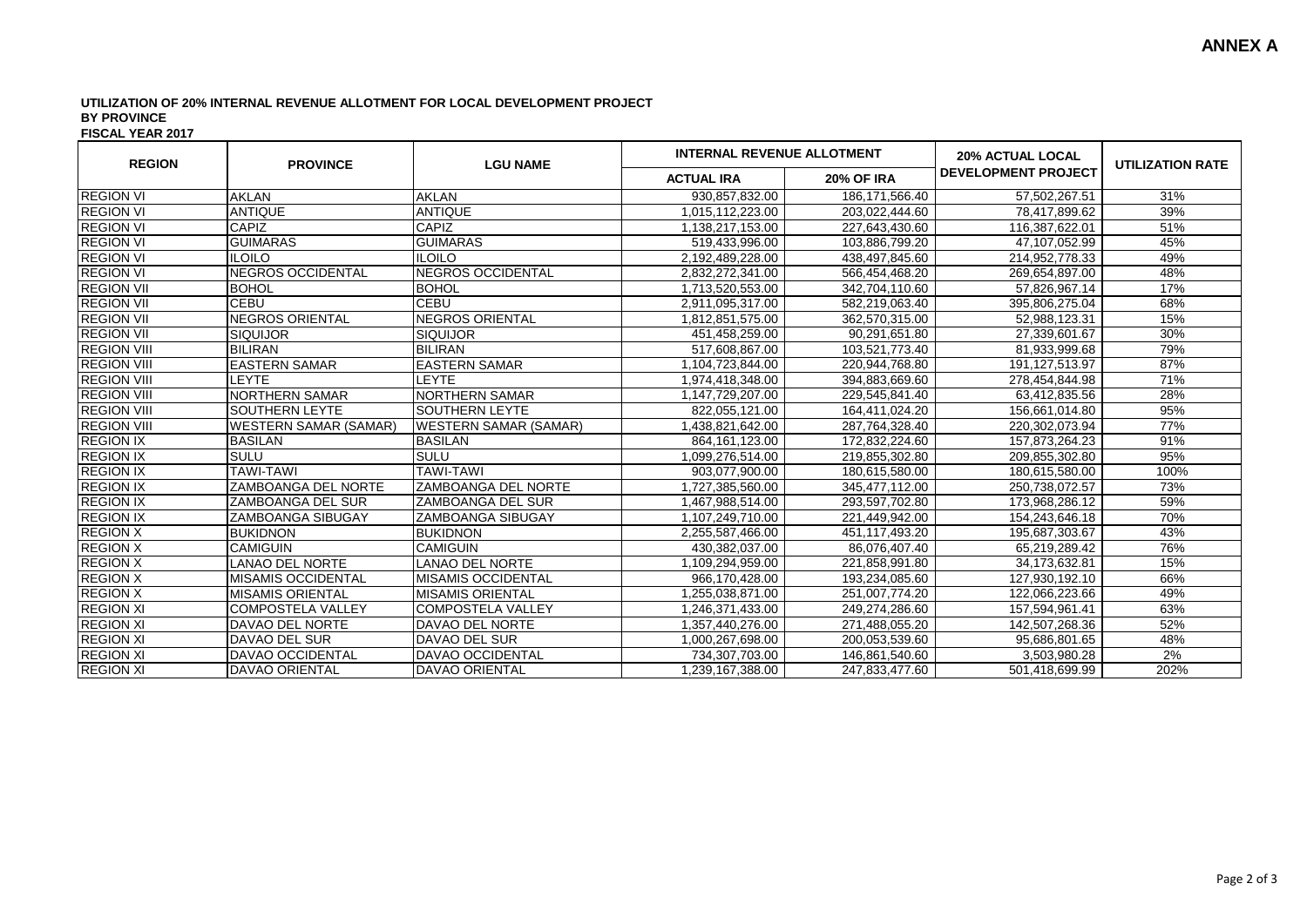## **UTILIZATION OF 20% INTERNAL REVENUE ALLOTMENT FOR LOCAL DEVELOPMENT PROJECT BY PROVINCE**

**FISCAL YEAR 2017**

| <b>REGION</b>      | <b>PROVINCE</b>              | <b>LGU NAME</b>              | <b>INTERNAL REVENUE ALLOTMENT</b> |                   | <b>20% ACTUAL LOCAL</b>    | <b>UTILIZATION RATE</b> |
|--------------------|------------------------------|------------------------------|-----------------------------------|-------------------|----------------------------|-------------------------|
|                    |                              |                              | <b>ACTUAL IRA</b>                 | <b>20% OF IRA</b> | <b>DEVELOPMENT PROJECT</b> |                         |
| <b>REGION VI</b>   | <b>AKLAN</b>                 | <b>AKLAN</b>                 | 930,857,832.00                    | 186, 171, 566. 40 | 57,502,267.51              | 31%                     |
| <b>REGION VI</b>   | <b>ANTIQUE</b>               | <b>ANTIQUE</b>               | 1,015,112,223.00                  | 203,022,444.60    | 78,417,899.62              | 39%                     |
| <b>REGION VI</b>   | <b>CAPIZ</b>                 | <b>CAPIZ</b>                 | 1,138,217,153.00                  | 227.643.430.60    | 116,387,622.01             | 51%                     |
| <b>REGION VI</b>   | <b>GUIMARAS</b>              | <b>GUIMARAS</b>              | 519,433,996.00                    | 103,886,799.20    | 47,107,052.99              | 45%                     |
| <b>REGION VI</b>   | <b>ILOILO</b>                | <b>ILOILO</b>                | 2,192,489,228.00                  | 438,497,845.60    | 214,952,778.33             | 49%                     |
| <b>REGION VI</b>   | NEGROS OCCIDENTAL            | <b>NEGROS OCCIDENTAL</b>     | 2,832,272,341.00                  | 566,454,468.20    | 269,654,897.00             | 48%                     |
| <b>REGION VII</b>  | <b>BOHOL</b>                 | <b>BOHOL</b>                 | 1,713,520,553.00                  | 342,704,110.60    | 57,826,967.14              | 17%                     |
| <b>REGION VII</b>  | <b>CEBU</b>                  | <b>CEBU</b>                  | 2,911,095,317.00                  | 582,219,063.40    | 395,806,275.04             | 68%                     |
| <b>REGION VII</b>  | <b>NEGROS ORIENTAL</b>       | <b>NEGROS ORIENTAL</b>       | 1,812,851,575.00                  | 362,570,315.00    | 52,988,123.31              | 15%                     |
| <b>REGION VII</b>  | <b>SIQUIJOR</b>              | <b>SIQUIJOR</b>              | 451,458,259.00                    | 90,291,651.80     | 27,339,601.67              | 30%                     |
| <b>REGION VIII</b> | <b>BILIRAN</b>               | <b>BILIRAN</b>               | 517,608,867.00                    | 103,521,773.40    | 81,933,999.68              | 79%                     |
| <b>REGION VIII</b> | <b>EASTERN SAMAR</b>         | <b>EASTERN SAMAR</b>         | 1.104.723.844.00                  | 220.944.768.80    | 191.127.513.97             | 87%                     |
| <b>REGION VIII</b> | LEYTE                        | LEYTE                        | 1,974,418,348.00                  | 394,883,669.60    | 278,454,844.98             | 71%                     |
| <b>REGION VIII</b> | <b>NORTHERN SAMAR</b>        | <b>NORTHERN SAMAR</b>        | 1,147,729,207.00                  | 229,545,841.40    | 63,412,835.56              | 28%                     |
| <b>REGION VIII</b> | SOUTHERN LEYTE               | <b>SOUTHERN LEYTE</b>        | 822,055,121.00                    | 164,411,024.20    | 156,661,014.80             | 95%                     |
| <b>REGION VIII</b> | <b>WESTERN SAMAR (SAMAR)</b> | <b>WESTERN SAMAR (SAMAR)</b> | 1,438,821,642.00                  | 287,764,328.40    | 220.302.073.94             | 77%                     |
| <b>REGION IX</b>   | <b>BASILAN</b>               | <b>BASILAN</b>               | 864, 161, 123.00                  | 172,832,224.60    | 157,873,264.23             | 91%                     |
| <b>REGION IX</b>   | SULU                         | <b>SULU</b>                  | 1,099,276,514.00                  | 219,855,302.80    | 209,855,302.80             | 95%                     |
| <b>REGION IX</b>   | <b>TAWI-TAWI</b>             | <b>TAWI-TAWI</b>             | 903,077,900.00                    | 180,615,580.00    | 180,615,580.00             | 100%                    |
| <b>REGION IX</b>   | <b>ZAMBOANGA DEL NORTE</b>   | <b>ZAMBOANGA DEL NORTE</b>   | 1,727,385,560.00                  | 345,477,112.00    | 250,738,072.57             | 73%                     |
| <b>REGION IX</b>   | <b>ZAMBOANGA DEL SUR</b>     | <b>ZAMBOANGA DEL SUR</b>     | 1,467,988,514.00                  | 293.597.702.80    | 173,968,286.12             | 59%                     |
| <b>REGION IX</b>   | <b>ZAMBOANGA SIBUGAY</b>     | ZAMBOANGA SIBUGAY            | 1,107,249,710.00                  | 221,449,942.00    | 154,243,646.18             | 70%                     |
| <b>REGION X</b>    | <b>BUKIDNON</b>              | <b>BUKIDNON</b>              | 2,255,587,466.00                  | 451,117,493.20    | 195,687,303.67             | 43%                     |
| <b>REGION X</b>    | <b>CAMIGUIN</b>              | <b>CAMIGUIN</b>              | 430,382,037.00                    | 86,076,407.40     | 65,219,289.42              | 76%                     |
| <b>REGION X</b>    | <b>LANAO DEL NORTE</b>       | <b>LANAO DEL NORTE</b>       | 1,109,294,959.00                  | 221,858,991.80    | 34,173,632.81              | 15%                     |
| <b>REGION X</b>    | IMISAMIS OCCIDENTAL          | <b>IMISAMIS OCCIDENTAL</b>   | 966,170,428.00                    | 193,234,085.60    | 127,930,192.10             | 66%                     |
| <b>REGION X</b>    | IMISAMIS ORIENTAL            | IMISAMIS ORIENTAL            | 1.255.038.871.00                  | 251.007.774.20    | 122,066,223.66             | 49%                     |
| <b>REGION XI</b>   | <b>COMPOSTELA VALLEY</b>     | <b>COMPOSTELA VALLEY</b>     | 1,246,371,433.00                  | 249,274,286.60    | 157,594,961.41             | 63%                     |
| <b>REGION XI</b>   | DAVAO DEL NORTE              | DAVAO DEL NORTE              | 1,357,440,276.00                  | 271,488,055.20    | 142,507,268.36             | 52%                     |
| <b>REGION XI</b>   | DAVAO DEL SUR                | DAVAO DEL SUR                | 1,000,267,698.00                  | 200,053,539.60    | 95,686,801.65              | 48%                     |
| <b>REGION XI</b>   | DAVAO OCCIDENTAL             | <b>DAVAO OCCIDENTAL</b>      | 734,307,703.00                    | 146,861,540.60    | 3,503,980.28               | 2%                      |
| <b>REGION XI</b>   | <b>DAVAO ORIENTAL</b>        | <b>DAVAO ORIENTAL</b>        | 1,239,167,388.00                  | 247,833,477.60    | 501,418,699.99             | 202%                    |